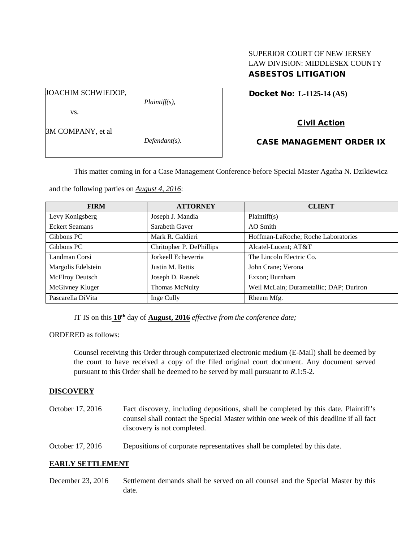# SUPERIOR COURT OF NEW JERSEY LAW DIVISION: MIDDLESEX COUNTY ASBESTOS LITIGATION

JOACHIM SCHWIEDOP,

*Plaintiff(s),*

Civil Action

Docket No: **L-1125-14 (AS)** 

3M COMPANY, et al

vs.

*Defendant(s).*

CASE MANAGEMENT ORDER IX

This matter coming in for a Case Management Conference before Special Master Agatha N. Dzikiewicz

and the following parties on *August 4, 2016*:

| <b>FIRM</b>           | <b>ATTORNEY</b>          | <b>CLIENT</b>                           |  |
|-----------------------|--------------------------|-----------------------------------------|--|
| Levy Konigsberg       | Joseph J. Mandia         | Plaintiff(s)                            |  |
| <b>Eckert Seamans</b> | Sarabeth Gaver           | AO Smith                                |  |
| Gibbons PC            | Mark R. Galdieri         | Hoffman-LaRoche; Roche Laboratories     |  |
| Gibbons PC            | Chritopher P. DePhillips | Alcatel-Lucent; AT&T                    |  |
| Landman Corsi         | Jorkeell Echeverria      | The Lincoln Electric Co.                |  |
| Margolis Edelstein    | Justin M. Bettis         | John Crane; Verona                      |  |
| McElroy Deutsch       | Joseph D. Rasnek         | Exxon; Burnham                          |  |
| McGivney Kluger       | <b>Thomas McNulty</b>    | Weil McLain; Durametallic; DAP; Duriron |  |
| Pascarella DiVita     | Inge Cully               | Rheem Mfg.                              |  |

IT IS on this  $10^{\underline{th}}$  day of **August, 2016** *effective from the conference date;* 

ORDERED as follows:

Counsel receiving this Order through computerized electronic medium (E-Mail) shall be deemed by the court to have received a copy of the filed original court document. Any document served pursuant to this Order shall be deemed to be served by mail pursuant to *R*.1:5-2.

## **DISCOVERY**

- October 17, 2016 Fact discovery, including depositions, shall be completed by this date. Plaintiff's counsel shall contact the Special Master within one week of this deadline if all fact discovery is not completed.
- October 17, 2016 Depositions of corporate representatives shall be completed by this date.

## **EARLY SETTLEMENT**

December 23, 2016 Settlement demands shall be served on all counsel and the Special Master by this date.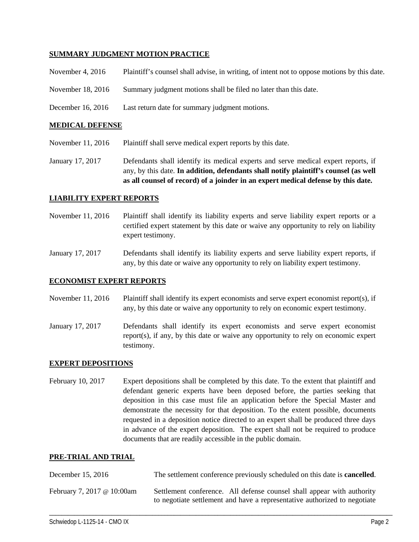## **SUMMARY JUDGMENT MOTION PRACTICE**

|  | November 4, 2016 | Plaintiff's counsel shall advise, in writing, of intent not to oppose motions by this date. |  |  |  |
|--|------------------|---------------------------------------------------------------------------------------------|--|--|--|
|--|------------------|---------------------------------------------------------------------------------------------|--|--|--|

- November 18, 2016 Summary judgment motions shall be filed no later than this date.
- December 16, 2016 Last return date for summary judgment motions.

#### **MEDICAL DEFENSE**

November 11, 2016 Plaintiff shall serve medical expert reports by this date.

January 17, 2017 Defendants shall identify its medical experts and serve medical expert reports, if any, by this date. **In addition, defendants shall notify plaintiff's counsel (as well as all counsel of record) of a joinder in an expert medical defense by this date.**

## **LIABILITY EXPERT REPORTS**

- November 11, 2016 Plaintiff shall identify its liability experts and serve liability expert reports or a certified expert statement by this date or waive any opportunity to rely on liability expert testimony.
- January 17, 2017 Defendants shall identify its liability experts and serve liability expert reports, if any, by this date or waive any opportunity to rely on liability expert testimony.

## **ECONOMIST EXPERT REPORTS**

November 11, 2016 Plaintiff shall identify its expert economists and serve expert economist report(s), if any, by this date or waive any opportunity to rely on economic expert testimony.

January 17, 2017 Defendants shall identify its expert economists and serve expert economist report(s), if any, by this date or waive any opportunity to rely on economic expert testimony.

## **EXPERT DEPOSITIONS**

February 10, 2017 Expert depositions shall be completed by this date. To the extent that plaintiff and defendant generic experts have been deposed before, the parties seeking that deposition in this case must file an application before the Special Master and demonstrate the necessity for that deposition. To the extent possible, documents requested in a deposition notice directed to an expert shall be produced three days in advance of the expert deposition. The expert shall not be required to produce documents that are readily accessible in the public domain.

#### **PRE-TRIAL AND TRIAL**

| December 15, 2016          | The settlement conference previously scheduled on this date is <b>cancelled</b> .                                                                   |
|----------------------------|-----------------------------------------------------------------------------------------------------------------------------------------------------|
| February 7, 2017 @ 10:00am | Settlement conference. All defense counsel shall appear with authority<br>to negotiate settlement and have a representative authorized to negotiate |

\_\_\_\_\_\_\_\_\_\_\_\_\_\_\_\_\_\_\_\_\_\_\_\_\_\_\_\_\_\_\_\_\_\_\_\_\_\_\_\_\_\_\_\_\_\_\_\_\_\_\_\_\_\_\_\_\_\_\_\_\_\_\_\_\_\_\_\_\_\_\_\_\_\_\_\_\_\_\_\_\_\_\_\_\_\_\_\_\_\_\_\_\_\_\_\_\_\_\_\_\_\_\_\_\_\_\_\_\_\_